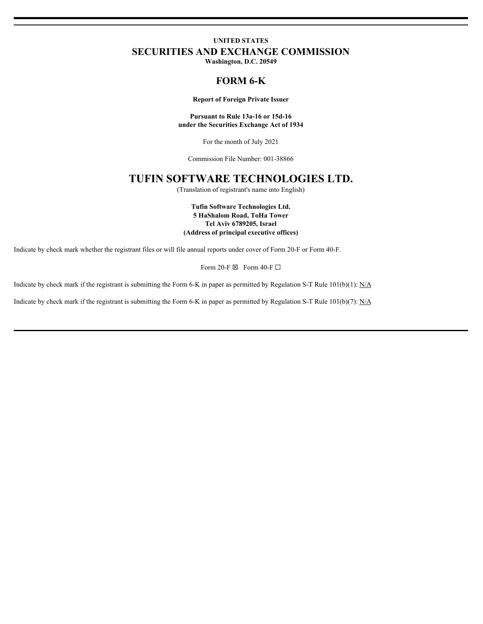# **UNITED STATES SECURITIES AND EXCHANGE COMMISSION**

**Washington, D.C. 20549**

### **FORM 6-K**

#### **Report of Foreign Private Issuer**

**Pursuant to Rule 13a-16 or 15d-16 under the Securities Exchange Act of 1934**

For the month of July 2021

Commission File Number: 001-38866

# **TUFIN SOFTWARE TECHNOLOGIES LTD.**

(Translation of registrant's name into English)

**Tufin Software Technologies Ltd. 5 HaShalom Road, ToHa Tower Tel Aviv 6789205, Israel (Address of principal executive offices)**

Indicate by check mark whether the registrant files or will file annual reports under cover of Form 20-F or Form 40-F.

Form 20-F $\boxtimes$  Form 40-F $\square$ 

Indicate by check mark if the registrant is submitting the Form 6-K in paper as permitted by Regulation S-T Rule  $101(b)(1)$ : N/A

Indicate by check mark if the registrant is submitting the Form 6-K in paper as permitted by Regulation S-T Rule  $101(b)(7)$ : N/A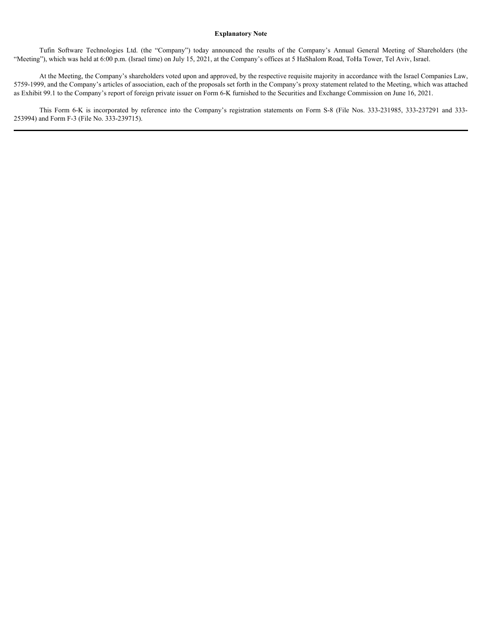### **Explanatory Note**

"Meeting"), which was held at 6:00 p.m. (Israel time) on July 15, 2021, at the Company's offices at 5 HaShalom Road, ToHa Tower, Tel Aviv, Israel.

**Explanatory Note**<br>
Tufin Software Technologies Ltd. (the "Company") today announced the results of the Company's Annual General Meeting of Shareholders (the<br>
"), which was held at 6:00 p.m. (Israel time) on July 15, 2021, At the Meeting, the Company's shareholders voted upon and approved, by the respective requisite majority in accordance with the Israel Companies Law, 5759-1999, and the Company's articles of association, each of the proposals set forth in the Company's proxy statement related to the Meeting, which was attached as Exhibit 99.1 to the Company's report of foreign private issuer on Form 6-K furnished to the Securities and Exchange Commission on June 16, 2021. Explanatory Note<br>
Explanatory Note<br>
Tufin Software Technologies Ltd. (the "Company") today announced the results of the Company's Annual General Meeting of Shareholders (the<br>
At the Meeting, the Company's stareholders vote

253994) and Form F-3 (File No. 333-239715).